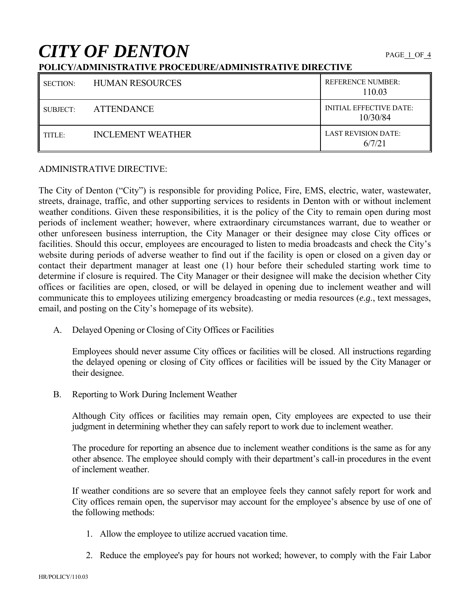# **CITY OF DENTON**

## **POLICY/ADMINISTRATIVE PROCEDURE/ADMINISTRATIVE DIRECTIVE**

| <b>SECTION:</b> | <b>HUMAN RESOURCES</b>   | <b>REFERENCE NUMBER:</b><br>110.03         |
|-----------------|--------------------------|--------------------------------------------|
| SUBJECT:        | <b>ATTENDANCE</b>        | <b>INITIAL EFFECTIVE DATE:</b><br>10/30/84 |
| TITLE:          | <b>INCLEMENT WEATHER</b> | <b>LAST REVISION DATE:</b><br>6/7/21       |

## ADMINISTRATIVE DIRECTIVE:

The City of Denton ("City") is responsible for providing Police, Fire, EMS, electric, water, wastewater, streets, drainage, traffic, and other supporting services to residents in Denton with or without inclement weather conditions. Given these responsibilities, it is the policy of the City to remain open during most periods of inclement weather; however, where extraordinary circumstances warrant, due to weather or other unforeseen business interruption, the City Manager or their designee may close City offices or facilities. Should this occur, employees are encouraged to listen to media broadcasts and check the City's website during periods of adverse weather to find out if the facility is open or closed on a given day or contact their department manager at least one (1) hour before their scheduled starting work time to determine if closure is required. The City Manager or their designee will make the decision whether City offices or facilities are open, closed, or will be delayed in opening due to inclement weather and will communicate this to employees utilizing emergency broadcasting or media resources (*e.g.*, text messages, email, and posting on the City's homepage of its website).

A. Delayed Opening or Closing of City Offices or Facilities

 Employees should never assume City offices or facilities will be closed. All instructions regarding the delayed opening or closing of City offices or facilities will be issued by the City Manager or their designee.

B. Reporting to Work During Inclement Weather

Although City offices or facilities may remain open, City employees are expected to use their judgment in determining whether they can safely report to work due to inclement weather.

 The procedure for reporting an absence due to inclement weather conditions is the same as for any other absence. The employee should comply with their department's call-in procedures in the event of inclement weather.

 If weather conditions are so severe that an employee feels they cannot safely report for work and City offices remain open, the supervisor may account for the employee's absence by use of one of the following methods:

- 1. Allow the employee to utilize accrued vacation time.
- 2. Reduce the employee's pay for hours not worked; however, to comply with the Fair Labor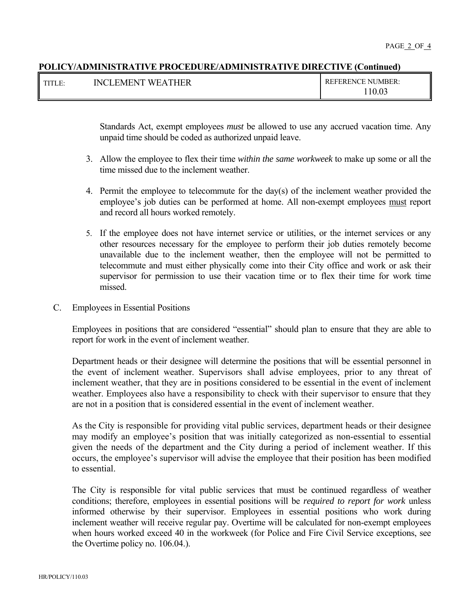#### **POLICY/ADMINISTRATIVE PROCEDURE/ADMINISTRATIVE DIRECTIVE (Continued)**

| TUTL D<br>н.<br>111LL. | EATHER<br><b>EMENT</b><br><b>WF</b><br>'NCL | <b>REFERENCE NUMBER:</b> |
|------------------------|---------------------------------------------|--------------------------|
|                        |                                             | 10.03                    |

Standards Act, exempt employees *must* be allowed to use any accrued vacation time. Any unpaid time should be coded as authorized unpaid leave.

- 3. Allow the employee to flex their time *within the same workweek* to make up some or all the time missed due to the inclement weather.
- 4. Permit the employee to telecommute for the day(s) of the inclement weather provided the employee's job duties can be performed at home. All non-exempt employees must report and record all hours worked remotely.
- 5. If the employee does not have internet service or utilities, or the internet services or any other resources necessary for the employee to perform their job duties remotely become unavailable due to the inclement weather, then the employee will not be permitted to telecommute and must either physically come into their City office and work or ask their supervisor for permission to use their vacation time or to flex their time for work time missed.
- C. Employees in Essential Positions

Employees in positions that are considered "essential" should plan to ensure that they are able to report for work in the event of inclement weather.

Department heads or their designee will determine the positions that will be essential personnel in the event of inclement weather. Supervisors shall advise employees, prior to any threat of inclement weather, that they are in positions considered to be essential in the event of inclement weather. Employees also have a responsibility to check with their supervisor to ensure that they are not in a position that is considered essential in the event of inclement weather.

As the City is responsible for providing vital public services, department heads or their designee may modify an employee's position that was initially categorized as non-essential to essential given the needs of the department and the City during a period of inclement weather. If this occurs, the employee's supervisor will advise the employee that their position has been modified to essential.

The City is responsible for vital public services that must be continued regardless of weather conditions; therefore, employees in essential positions will be *required to report for work* unless informed otherwise by their supervisor. Employees in essential positions who work during inclement weather will receive regular pay. Overtime will be calculated for non-exempt employees when hours worked exceed 40 in the workweek (for Police and Fire Civil Service exceptions, see the Overtime policy no. 106.04.).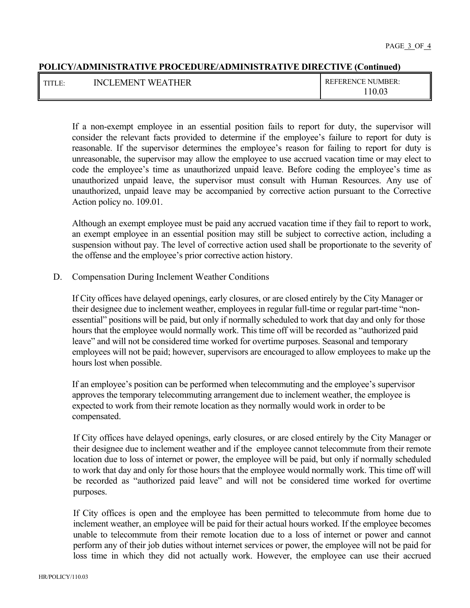## **POLICY/ADMINISTRATIVE PROCEDURE/ADMINISTRATIVE DIRECTIVE (Continued)**

| THTT D | <b>WEATHER</b> | NUMBER:          |
|--------|----------------|------------------|
| н.     | NCL.           | <b>REFERENCE</b> |
| 111LC. | . FMFNT :      |                  |
|        |                | 10.03            |

 If a non-exempt employee in an essential position fails to report for duty, the supervisor will consider the relevant facts provided to determine if the employee's failure to report for duty is reasonable. If the supervisor determines the employee's reason for failing to report for duty is unreasonable, the supervisor may allow the employee to use accrued vacation time or may elect to code the employee's time as unauthorized unpaid leave. Before coding the employee's time as unauthorized unpaid leave, the supervisor must consult with Human Resources. Any use of unauthorized, unpaid leave may be accompanied by corrective action pursuant to the Corrective Action policy no. 109.01.

Although an exempt employee must be paid any accrued vacation time if they fail to report to work, an exempt employee in an essential position may still be subject to corrective action, including a suspension without pay. The level of corrective action used shall be proportionate to the severity of the offense and the employee's prior corrective action history.

D. Compensation During Inclement Weather Conditions

If City offices have delayed openings, early closures, or are closed entirely by the City Manager or their designee due to inclement weather, employees in regular full-time or regular part-time "nonessential" positions will be paid, but only if normally scheduled to work that day and only for those hours that the employee would normally work. This time off will be recorded as "authorized paid leave" and will not be considered time worked for overtime purposes. Seasonal and temporary employees will not be paid; however, supervisors are encouraged to allow employees to make up the hours lost when possible.

If an employee's position can be performed when telecommuting and the employee's supervisor approves the temporary telecommuting arrangement due to inclement weather, the employee is expected to work from their remote location as they normally would work in order to be compensated.

If City offices have delayed openings, early closures, or are closed entirely by the City Manager or their designee due to inclement weather and if the employee cannot telecommute from their remote location due to loss of internet or power, the employee will be paid, but only if normally scheduled to work that day and only for those hours that the employee would normally work. This time off will be recorded as "authorized paid leave" and will not be considered time worked for overtime purposes.

If City offices is open and the employee has been permitted to telecommute from home due to inclement weather, an employee will be paid for their actual hours worked. If the employee becomes unable to telecommute from their remote location due to a loss of internet or power and cannot perform any of their job duties without internet services or power, the employee will not be paid for loss time in which they did not actually work. However, the employee can use their accrued